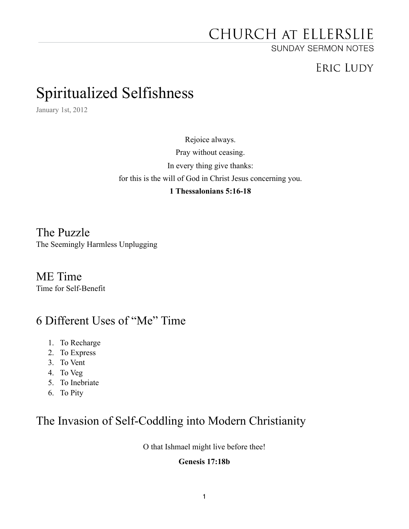# CHURCH AT ELLERSLIE

**SUNDAY SERMON NOTES** 

# **ERIC LUDY**

# Spiritualized Selfishness

January 1st, 2012

Rejoice always. Pray without ceasing. In every thing give thanks: for this is the will of God in Christ Jesus concerning you. **1 Thessalonians 5:16-18**

The Puzzle The Seemingly Harmless Unplugging

ME Time Time for Self-Benefit

# 6 Different Uses of "Me" Time

- 1. To Recharge
- 2. To Express
- 3. To Vent
- 4. To Veg
- 5. To Inebriate
- 6. To Pity

# The Invasion of Self-Coddling into Modern Christianity

O that Ishmael might live before thee!

### **Genesis 17:18b**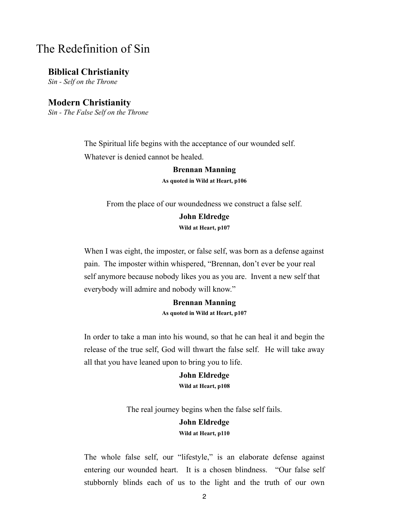## The Redefinition of Sin

#### **Biblical Christianity**

*Sin - Self on the Throne*

#### **Modern Christianity**

*Sin - The False Self on the Throne*

The Spiritual life begins with the acceptance of our wounded self. Whatever is denied cannot be healed.

> **Brennan Manning As quoted in Wild at Heart, p106**

From the place of our woundedness we construct a false self.

## **John Eldredge**

**Wild at Heart, p107**

When I was eight, the imposter, or false self, was born as a defense against pain. The imposter within whispered, "Brennan, don't ever be your real self anymore because nobody likes you as you are. Invent a new self that everybody will admire and nobody will know."

#### **Brennan Manning As quoted in Wild at Heart, p107**

In order to take a man into his wound, so that he can heal it and begin the release of the true self, God will thwart the false self. He will take away all that you have leaned upon to bring you to life.

#### **John Eldredge Wild at Heart, p108**

The real journey begins when the false self fails.

#### **John Eldredge Wild at Heart, p110**

The whole false self, our "lifestyle," is an elaborate defense against entering our wounded heart. It is a chosen blindness. "Our false self stubbornly blinds each of us to the light and the truth of our own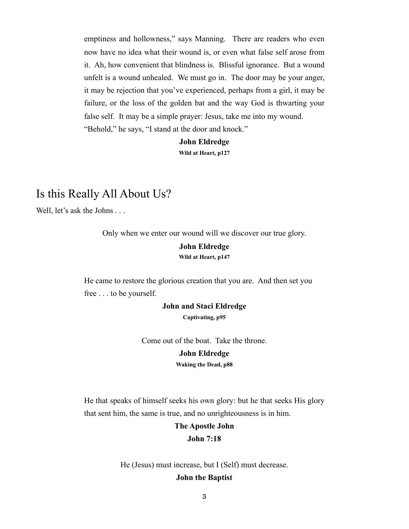emptiness and hollowness," says Manning. There are readers who even now have no idea what their wound is, or even what false self arose from it. Ah, how convenient that blindness is. Blissful ignorance. But a wound unfelt is a wound unhealed. We must go in. The door may be your anger, it may be rejection that you've experienced, perhaps from a girl, it may be failure, or the loss of the golden bat and the way God is thwarting your false self. It may be a simple prayer: Jesus, take me into my wound. "Behold," he says, "I stand at the door and knock."

#### **John Eldredge Wild at Heart, p127**

### Is this Really All About Us?

Well, let's ask the Johns . . .

Only when we enter our wound will we discover our true glory.

#### **John Eldredge Wild at Heart, p147**

He came to restore the glorious creation that you are. And then set you free . . . to be yourself.

#### **John and Staci Eldredge**

**Captivating, p95**

Come out of the boat. Take the throne.

#### **John Eldredge**

**Waking the Dead, p88**

He that speaks of himself seeks his own glory: but he that seeks His glory that sent him, the same is true, and no unrighteousness is in him.

# **The Apostle John**

**John 7:18**

He (Jesus) must increase, but I (Self) must decrease.

#### **John the Baptist**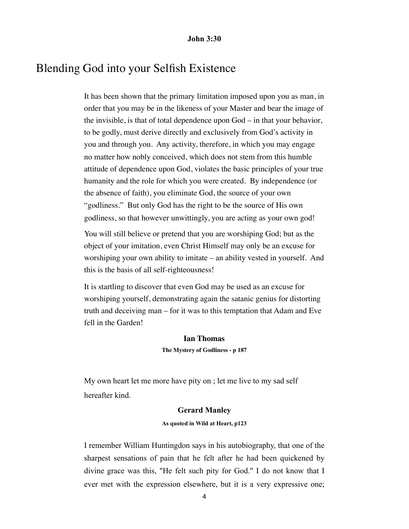### Blending God into your Selfish Existence

It has been shown that the primary limitation imposed upon you as man, in order that you may be in the likeness of your Master and bear the image of the invisible, is that of total dependence upon God – in that your behavior, to be godly, must derive directly and exclusively from God's activity in you and through you. Any activity, therefore, in which you may engage no matter how nobly conceived, which does not stem from this humble attitude of dependence upon God, violates the basic principles of your true humanity and the role for which you were created. By independence (or the absence of faith), you eliminate God, the source of your own "godliness." But only God has the right to be the source of His own godliness, so that however unwittingly, you are acting as your own god!

You will still believe or pretend that you are worshiping God; but as the object of your imitation, even Christ Himself may only be an excuse for worshiping your own ability to imitate – an ability vested in yourself. And this is the basis of all self-righteousness!

It is startling to discover that even God may be used as an excuse for worshiping yourself, demonstrating again the satanic genius for distorting truth and deceiving man – for it was to this temptation that Adam and Eve fell in the Garden!

#### **Ian Thomas**

**The Mystery of Godliness - p 187**

My own heart let me more have pity on ; let me live to my sad self hereafter kind.

#### **Gerard Manley**

#### **As quoted in Wild at Heart, p123**

I remember William Huntingdon says in his autobiography, that one of the sharpest sensations of pain that he felt after he had been quickened by divine grace was this, "He felt such pity for God." I do not know that I ever met with the expression elsewhere, but it is a very expressive one;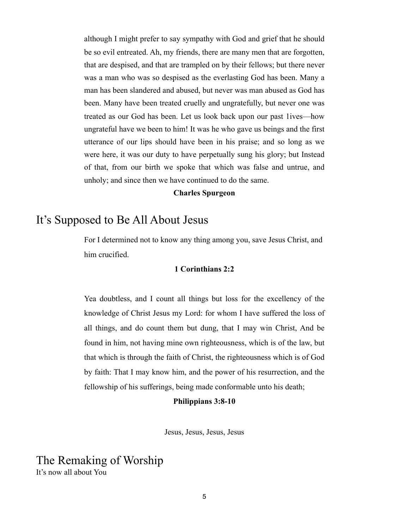although I might prefer to say sympathy with God and grief that he should be so evil entreated. Ah, my friends, there are many men that are forgotten, that are despised, and that are trampled on by their fellows; but there never was a man who was so despised as the everlasting God has been. Many a man has been slandered and abused, but never was man abused as God has been. Many have been treated cruelly and ungratefully, but never one was treated as our God has been. Let us look back upon our past 1ives—how ungrateful have we been to him! It was he who gave us beings and the first utterance of our lips should have been in his praise; and so long as we were here, it was our duty to have perpetually sung his glory; but Instead of that, from our birth we spoke that which was false and untrue, and unholy; and since then we have continued to do the same.

#### **Charles Spurgeon**

# It's Supposed to Be All About Jesus

For I determined not to know any thing among you, save Jesus Christ, and him crucified.

#### **1 Corinthians 2:2**

Yea doubtless, and I count all things but loss for the excellency of the knowledge of Christ Jesus my Lord: for whom I have suffered the loss of all things, and do count them but dung, that I may win Christ, And be found in him, not having mine own righteousness, which is of the law, but that which is through the faith of Christ, the righteousness which is of God by faith: That I may know him, and the power of his resurrection, and the fellowship of his sufferings, being made conformable unto his death;

#### **Philippians 3:8-10**

Jesus, Jesus, Jesus, Jesus

The Remaking of Worship It's now all about You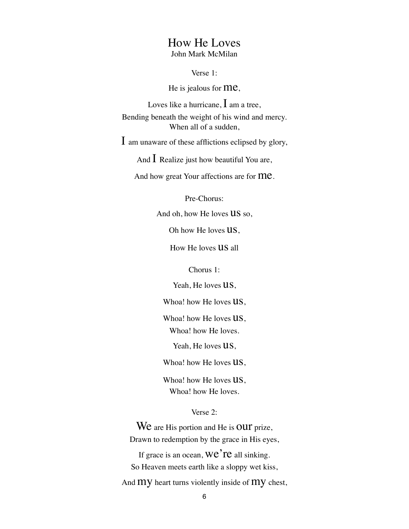# How He Loves

John Mark McMilan

Verse 1:

He is jealous for **Me**,

Loves like a hurricane,  $I$  am a tree, Bending beneath the weight of his wind and mercy. When all of a sudden,

I am unaware of these afflictions eclipsed by glory,

And  $\overline{I}$  Realize just how beautiful You are,

And how great Your affections are for  $\text{m}e$ .

Pre-Chorus:

And oh, how He loves US so,

Oh how He loves US,

How He loves US all

Chorus 1:

Yeah, He loves US,

Whoa! how He loves US,

Whoa! how He loves US, Whoa! how He loves.

Yeah, He loves US,

Whoa! how He loves US,

Whoa! how He loves US, Whoa! how He loves.

Verse 2:

We are His portion and He is OUT prize, Drawn to redemption by the grace in His eyes, If grace is an ocean,  $We're$  all sinking. So Heaven meets earth like a sloppy wet kiss, And **MY** heart turns violently inside of **MY** chest,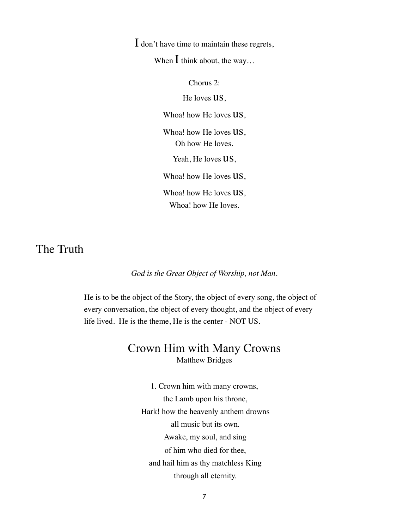I don't have time to maintain these regrets,

When  $\mathbf I$  think about, the way...

Chorus 2:

He loves US,

Whoa! how He loves US, Whoa! how He loves US, Oh how He loves.

Yeah, He loves US,

Whoa! how He loves US,

Whoa! how He loves US, Whoa! how He loves.

## The Truth

*God is the Great Object of Worship, not Man.* 

He is to be the object of the Story, the object of every song, the object of every conversation, the object of every thought, and the object of every life lived. He is the theme, He is the center - NOT US.

### Crown Him with Many Crowns Matthew Bridges

1. Crown him with many crowns, the Lamb upon his throne, Hark! how the heavenly anthem drowns all music but its own. Awake, my soul, and sing of him who died for thee, and hail him as thy matchless King through all eternity.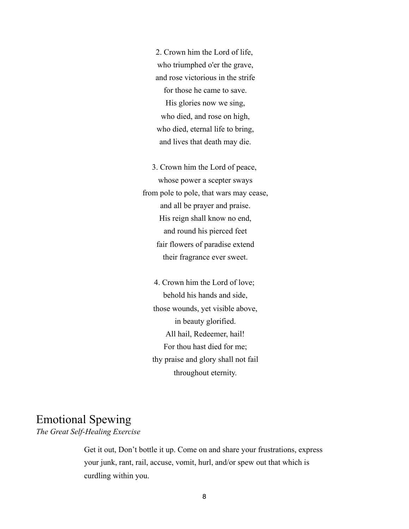2. Crown him the Lord of life, who triumphed o'er the grave, and rose victorious in the strife for those he came to save. His glories now we sing, who died, and rose on high, who died, eternal life to bring, and lives that death may die.

3. Crown him the Lord of peace, whose power a scepter sways from pole to pole, that wars may cease, and all be prayer and praise. His reign shall know no end, and round his pierced feet fair flowers of paradise extend their fragrance ever sweet.

4. Crown him the Lord of love; behold his hands and side, those wounds, yet visible above, in beauty glorified. All hail, Redeemer, hail! For thou hast died for me; thy praise and glory shall not fail throughout eternity.

# Emotional Spewing

*The Great Self-Healing Exercise* 

Get it out, Don't bottle it up. Come on and share your frustrations, express your junk, rant, rail, accuse, vomit, hurl, and/or spew out that which is curdling within you.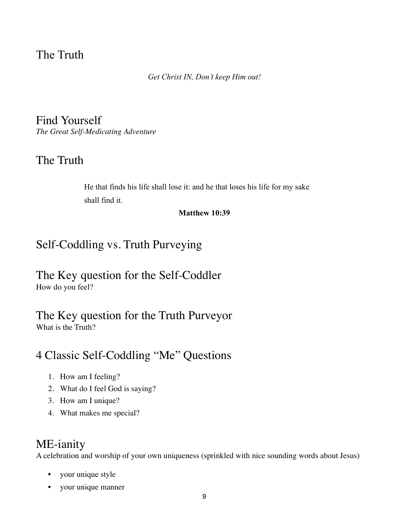The Truth

*Get Christ IN, Don't keep Him out!*

Find Yourself *The Great Self-Medicating Adventure*

# The Truth

He that finds his life shall lose it: and he that loses his life for my sake shall find it.

#### **Matthew 10:39**

# Self-Coddling vs. Truth Purveying

The Key question for the Self-Coddler How do you feel?

The Key question for the Truth Purveyor What is the Truth?

# 4 Classic Self-Coddling "Me" Questions

- 1. How am I feeling?
- 2. What do I feel God is saying?
- 3. How am I unique?
- 4. What makes me special?

# ME-ianity

A celebration and worship of your own uniqueness (sprinkled with nice sounding words about Jesus)

- your unique style
- your unique manner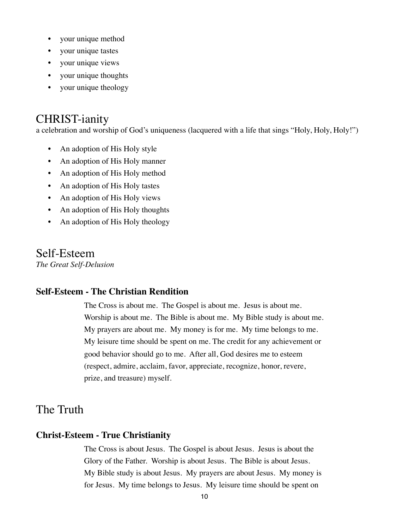- your unique method
- your unique tastes
- your unique views
- your unique thoughts
- your unique theology

### CHRIST-ianity

a celebration and worship of God's uniqueness (lacquered with a life that sings "Holy, Holy, Holy!")

- An adoption of His Holy style
- An adoption of His Holy manner
- An adoption of His Holy method
- An adoption of His Holy tastes
- An adoption of His Holy views
- An adoption of His Holy thoughts
- An adoption of His Holy theology

# Self-Esteem

*The Great Self-Delusion*

#### **Self-Esteem - The Christian Rendition**

The Cross is about me. The Gospel is about me. Jesus is about me. Worship is about me. The Bible is about me. My Bible study is about me. My prayers are about me. My money is for me. My time belongs to me. My leisure time should be spent on me. The credit for any achievement or good behavior should go to me. After all, God desires me to esteem (respect, admire, acclaim, favor, appreciate, recognize, honor, revere, prize, and treasure) myself.

### The Truth

#### **Christ-Esteem - True Christianity**

The Cross is about Jesus. The Gospel is about Jesus. Jesus is about the Glory of the Father. Worship is about Jesus. The Bible is about Jesus. My Bible study is about Jesus. My prayers are about Jesus. My money is for Jesus. My time belongs to Jesus. My leisure time should be spent on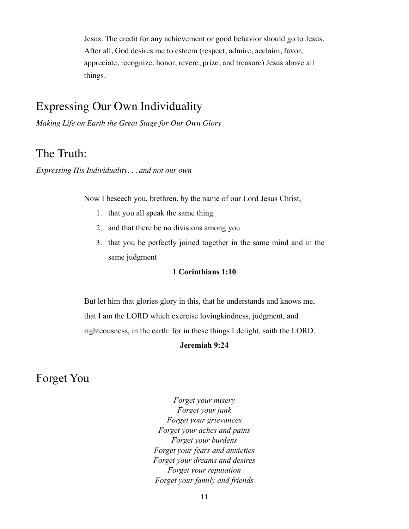Jesus. The credit for any achievement or good behavior should go to Jesus. After all, God desires me to esteem (respect, admire, acclaim, favor, appreciate, recognize, honor, revere, prize, and treasure) Jesus above all things.

# Expressing Our Own Individuality

*Making Life on Earth the Great Stage for Our Own Glory*

# The Truth:

*Expressing His Individuality. . . and not our own*

Now I beseech you, brethren, by the name of our Lord Jesus Christ,

- 1. that you all speak the same thing
- 2. and that there be no divisions among you
- 3. that you be perfectly joined together in the same mind and in the same judgment

#### **1 Corinthians 1:10**

But let him that glories glory in this, that he understands and knows me, that I am the LORD which exercise lovingkindness, judgment, and righteousness, in the earth: for in these things I delight, saith the LORD.

#### **Jeremiah 9:24**

# Forget You

*Forget your misery Forget your junk Forget your grievances Forget your aches and pains Forget your burdens Forget your fears and anxieties Forget your dreams and desires Forget your reputation Forget your family and friends*